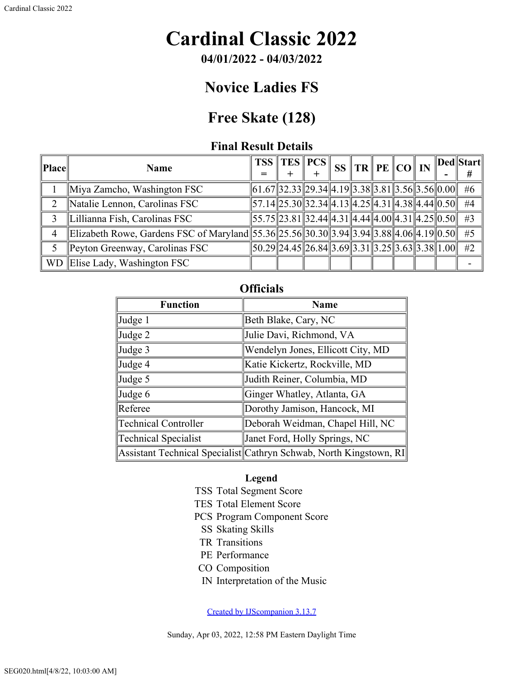# **Cardinal Classic 2022**

**04/01/2022 - 04/03/2022**

## **Novice Ladies FS**

## **Free Skate (128)**

### **Final Result Details**

| Place | <b>Name</b>                                                                             |  | $TSS$ $TES$ $PCS$ $\ $                                                                                                                                                              |  | $\frac{1}{2}$ SS TR PE CO IN |  | Ded  Start  <br># |
|-------|-----------------------------------------------------------------------------------------|--|-------------------------------------------------------------------------------------------------------------------------------------------------------------------------------------|--|------------------------------|--|-------------------|
|       | Miya Zamcho, Washington FSC                                                             |  | $\ \overline{61.67}\ $ 32.33 $\ 29.34\ 4.19\ 3.38\ 3.81\ 3.56\ 3.56\ 0.00\ $                                                                                                        |  |                              |  | #6                |
|       | Natalie Lennon, Carolinas FSC                                                           |  | $\overline{57.14}$ $\overline{25.30}$ $\overline{32.34}$ $\overline{4.13}$ $\overline{4.25}$ $\overline{4.31}$ $\overline{4.38}$ $\overline{4.44}$ $\overline{0.50}$ $\overline{0}$ |  |                              |  | #4                |
| 3     | Lillianna Fish, Carolinas FSC                                                           |  | $\left  55.75 \right  23.81 \left  32.44 \right  4.31 \left  4.44 \right  4.00 \left  4.31 \right  4.25 \left  0.50 \right $                                                        |  |                              |  | #3                |
| 4     | Elizabeth Rowe, Gardens FSC of Maryland 55.36 25.56 30.30 3.94 3.94 3.88 4.06 4.19 0.50 |  |                                                                                                                                                                                     |  |                              |  | #5                |
|       | Peyton Greenway, Carolinas FSC                                                          |  | $\left 50.29\right 24.45\right 26.84\left 3.69\right 3.31\left 3.25\right 3.63\left 3.38\right 1.00\right $                                                                         |  |                              |  | #2                |
|       | WD Elise Lady, Washington FSC                                                           |  |                                                                                                                                                                                     |  |                              |  |                   |

### **Officials**

| <b>Function</b>             | <b>Name</b>                                                        |  |  |  |  |  |  |
|-----------------------------|--------------------------------------------------------------------|--|--|--|--|--|--|
| Judge 1                     | Beth Blake, Cary, NC                                               |  |  |  |  |  |  |
| Judge 2                     | Julie Davi, Richmond, VA                                           |  |  |  |  |  |  |
| Judge 3                     | Wendelyn Jones, Ellicott City, MD                                  |  |  |  |  |  |  |
| Judge 4                     | Katie Kickertz, Rockville, MD                                      |  |  |  |  |  |  |
| Judge 5                     | Judith Reiner, Columbia, MD                                        |  |  |  |  |  |  |
| Judge 6                     | Ginger Whatley, Atlanta, GA                                        |  |  |  |  |  |  |
| Referee                     | Dorothy Jamison, Hancock, MI                                       |  |  |  |  |  |  |
| <b>Technical Controller</b> | Deborah Weidman, Chapel Hill, NC                                   |  |  |  |  |  |  |
| Technical Specialist        | Janet Ford, Holly Springs, NC                                      |  |  |  |  |  |  |
|                             | Assistant Technical Specialist Cathryn Schwab, North Kingstown, RI |  |  |  |  |  |  |

#### **Legend**

- TSS Total Segment Score
- TES Total Element Score
- PCS Program Component Score
	- SS Skating Skills
- TR Transitions
- PE Performance
- CO Composition
- IN Interpretation of the Music

[Created by IJScompanion 3.13.7](http://www.usfigureskating.org/)